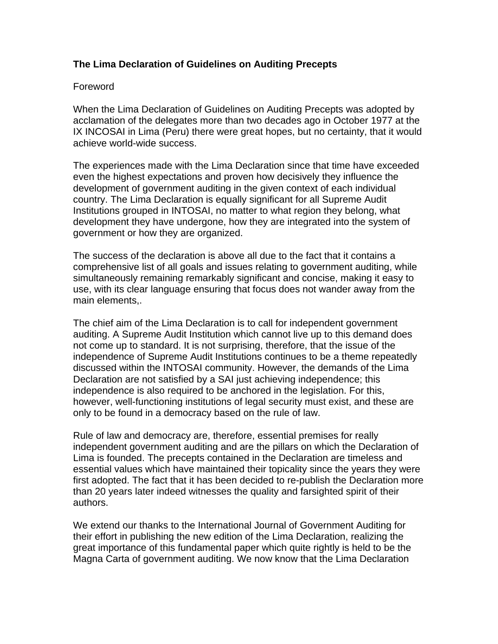# **The Lima Declaration of Guidelines on Auditing Precepts**

#### Foreword

When the Lima Declaration of Guidelines on Auditing Precepts was adopted by acclamation of the delegates more than two decades ago in October 1977 at the IX INCOSAI in Lima (Peru) there were great hopes, but no certainty, that it would achieve world-wide success.

The experiences made with the Lima Declaration since that time have exceeded even the highest expectations and proven how decisively they influence the development of government auditing in the given context of each individual country. The Lima Declaration is equally significant for all Supreme Audit Institutions grouped in INTOSAI, no matter to what region they belong, what development they have undergone, how they are integrated into the system of government or how they are organized.

The success of the declaration is above all due to the fact that it contains a comprehensive list of all goals and issues relating to government auditing, while simultaneously remaining remarkably significant and concise, making it easy to use, with its clear language ensuring that focus does not wander away from the main elements,.

The chief aim of the Lima Declaration is to call for independent government auditing. A Supreme Audit Institution which cannot live up to this demand does not come up to standard. It is not surprising, therefore, that the issue of the independence of Supreme Audit Institutions continues to be a theme repeatedly discussed within the INTOSAI community. However, the demands of the Lima Declaration are not satisfied by a SAI just achieving independence; this independence is also required to be anchored in the legislation. For this, however, well-functioning institutions of legal security must exist, and these are only to be found in a democracy based on the rule of law.

Rule of law and democracy are, therefore, essential premises for really independent government auditing and are the pillars on which the Declaration of Lima is founded. The precepts contained in the Declaration are timeless and essential values which have maintained their topicality since the years they were first adopted. The fact that it has been decided to re-publish the Declaration more than 20 years later indeed witnesses the quality and farsighted spirit of their authors.

We extend our thanks to the International Journal of Government Auditing for their effort in publishing the new edition of the Lima Declaration, realizing the great importance of this fundamental paper which quite rightly is held to be the Magna Carta of government auditing. We now know that the Lima Declaration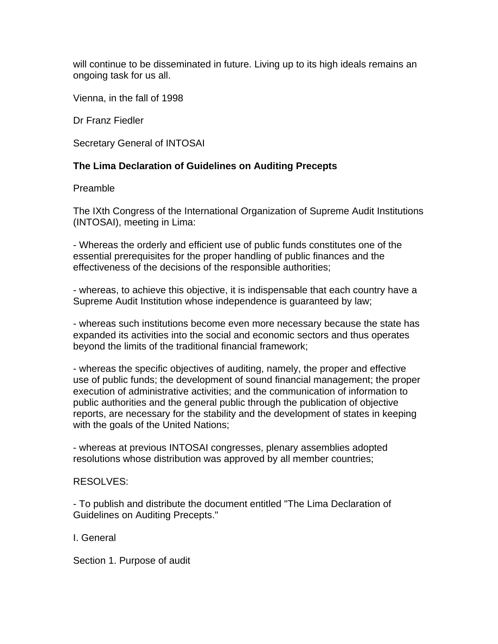will continue to be disseminated in future. Living up to its high ideals remains an ongoing task for us all.

Vienna, in the fall of 1998

Dr Franz Fiedler

Secretary General of INTOSAI

## **The Lima Declaration of Guidelines on Auditing Precepts**

#### Preamble

The IXth Congress of the International Organization of Supreme Audit Institutions (INTOSAI), meeting in Lima:

- Whereas the orderly and efficient use of public funds constitutes one of the essential prerequisites for the proper handling of public finances and the effectiveness of the decisions of the responsible authorities;

- whereas, to achieve this objective, it is indispensable that each country have a Supreme Audit Institution whose independence is guaranteed by law;

- whereas such institutions become even more necessary because the state has expanded its activities into the social and economic sectors and thus operates beyond the limits of the traditional financial framework;

- whereas the specific objectives of auditing, namely, the proper and effective use of public funds; the development of sound financial management; the proper execution of administrative activities; and the communication of information to public authorities and the general public through the publication of objective reports, are necessary for the stability and the development of states in keeping with the goals of the United Nations;

- whereas at previous INTOSAI congresses, plenary assemblies adopted resolutions whose distribution was approved by all member countries;

## RESOLVES:

- To publish and distribute the document entitled "The Lima Declaration of Guidelines on Auditing Precepts."

I. General

Section 1. Purpose of audit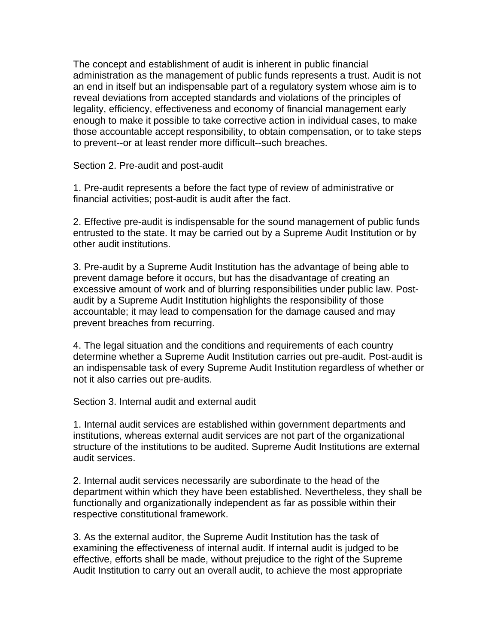The concept and establishment of audit is inherent in public financial administration as the management of public funds represents a trust. Audit is not an end in itself but an indispensable part of a regulatory system whose aim is to reveal deviations from accepted standards and violations of the principles of legality, efficiency, effectiveness and economy of financial management early enough to make it possible to take corrective action in individual cases, to make those accountable accept responsibility, to obtain compensation, or to take steps to prevent--or at least render more difficult--such breaches.

Section 2. Pre-audit and post-audit

1. Pre-audit represents a before the fact type of review of administrative or financial activities; post-audit is audit after the fact.

2. Effective pre-audit is indispensable for the sound management of public funds entrusted to the state. It may be carried out by a Supreme Audit Institution or by other audit institutions.

3. Pre-audit by a Supreme Audit Institution has the advantage of being able to prevent damage before it occurs, but has the disadvantage of creating an excessive amount of work and of blurring responsibilities under public law. Postaudit by a Supreme Audit Institution highlights the responsibility of those accountable; it may lead to compensation for the damage caused and may prevent breaches from recurring.

4. The legal situation and the conditions and requirements of each country determine whether a Supreme Audit Institution carries out pre-audit. Post-audit is an indispensable task of every Supreme Audit Institution regardless of whether or not it also carries out pre-audits.

Section 3. Internal audit and external audit

1. Internal audit services are established within government departments and institutions, whereas external audit services are not part of the organizational structure of the institutions to be audited. Supreme Audit Institutions are external audit services.

2. Internal audit services necessarily are subordinate to the head of the department within which they have been established. Nevertheless, they shall be functionally and organizationally independent as far as possible within their respective constitutional framework.

3. As the external auditor, the Supreme Audit Institution has the task of examining the effectiveness of internal audit. If internal audit is judged to be effective, efforts shall be made, without prejudice to the right of the Supreme Audit Institution to carry out an overall audit, to achieve the most appropriate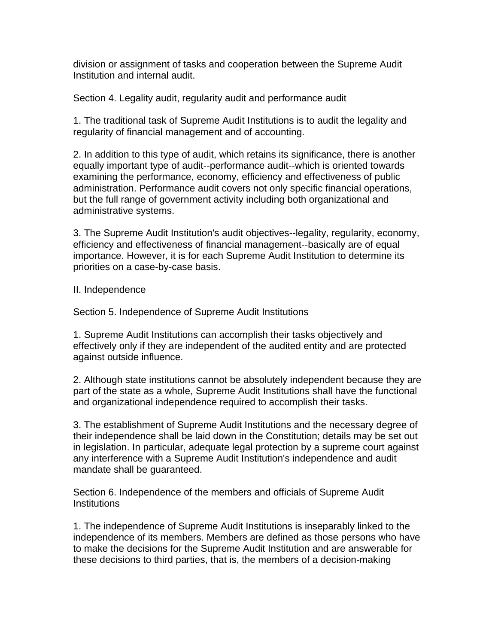division or assignment of tasks and cooperation between the Supreme Audit Institution and internal audit.

Section 4. Legality audit, regularity audit and performance audit

1. The traditional task of Supreme Audit Institutions is to audit the legality and regularity of financial management and of accounting.

2. In addition to this type of audit, which retains its significance, there is another equally important type of audit--performance audit--which is oriented towards examining the performance, economy, efficiency and effectiveness of public administration. Performance audit covers not only specific financial operations, but the full range of government activity including both organizational and administrative systems.

3. The Supreme Audit Institution's audit objectives--legality, regularity, economy, efficiency and effectiveness of financial management--basically are of equal importance. However, it is for each Supreme Audit Institution to determine its priorities on a case-by-case basis.

II. Independence

Section 5. Independence of Supreme Audit Institutions

1. Supreme Audit Institutions can accomplish their tasks objectively and effectively only if they are independent of the audited entity and are protected against outside influence.

2. Although state institutions cannot be absolutely independent because they are part of the state as a whole, Supreme Audit Institutions shall have the functional and organizational independence required to accomplish their tasks.

3. The establishment of Supreme Audit Institutions and the necessary degree of their independence shall be laid down in the Constitution; details may be set out in legislation. In particular, adequate legal protection by a supreme court against any interference with a Supreme Audit Institution's independence and audit mandate shall be guaranteed.

Section 6. Independence of the members and officials of Supreme Audit **Institutions** 

1. The independence of Supreme Audit Institutions is inseparably linked to the independence of its members. Members are defined as those persons who have to make the decisions for the Supreme Audit Institution and are answerable for these decisions to third parties, that is, the members of a decision-making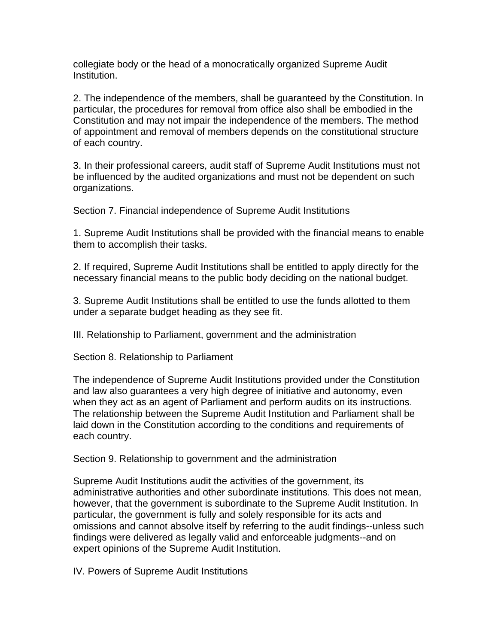collegiate body or the head of a monocratically organized Supreme Audit Institution.

2. The independence of the members, shall be guaranteed by the Constitution. In particular, the procedures for removal from office also shall be embodied in the Constitution and may not impair the independence of the members. The method of appointment and removal of members depends on the constitutional structure of each country.

3. In their professional careers, audit staff of Supreme Audit Institutions must not be influenced by the audited organizations and must not be dependent on such organizations.

Section 7. Financial independence of Supreme Audit Institutions

1. Supreme Audit Institutions shall be provided with the financial means to enable them to accomplish their tasks.

2. If required, Supreme Audit Institutions shall be entitled to apply directly for the necessary financial means to the public body deciding on the national budget.

3. Supreme Audit Institutions shall be entitled to use the funds allotted to them under a separate budget heading as they see fit.

III. Relationship to Parliament, government and the administration

Section 8. Relationship to Parliament

The independence of Supreme Audit Institutions provided under the Constitution and law also guarantees a very high degree of initiative and autonomy, even when they act as an agent of Parliament and perform audits on its instructions. The relationship between the Supreme Audit Institution and Parliament shall be laid down in the Constitution according to the conditions and requirements of each country.

Section 9. Relationship to government and the administration

Supreme Audit Institutions audit the activities of the government, its administrative authorities and other subordinate institutions. This does not mean, however, that the government is subordinate to the Supreme Audit Institution. In particular, the government is fully and solely responsible for its acts and omissions and cannot absolve itself by referring to the audit findings--unless such findings were delivered as legally valid and enforceable judgments--and on expert opinions of the Supreme Audit Institution.

IV. Powers of Supreme Audit Institutions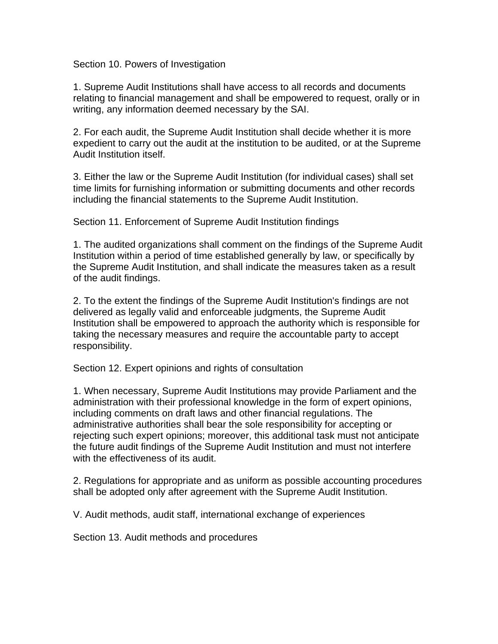Section 10. Powers of Investigation

1. Supreme Audit Institutions shall have access to all records and documents relating to financial management and shall be empowered to request, orally or in writing, any information deemed necessary by the SAI.

2. For each audit, the Supreme Audit Institution shall decide whether it is more expedient to carry out the audit at the institution to be audited, or at the Supreme Audit Institution itself.

3. Either the law or the Supreme Audit Institution (for individual cases) shall set time limits for furnishing information or submitting documents and other records including the financial statements to the Supreme Audit Institution.

Section 11. Enforcement of Supreme Audit Institution findings

1. The audited organizations shall comment on the findings of the Supreme Audit Institution within a period of time established generally by law, or specifically by the Supreme Audit Institution, and shall indicate the measures taken as a result of the audit findings.

2. To the extent the findings of the Supreme Audit Institution's findings are not delivered as legally valid and enforceable judgments, the Supreme Audit Institution shall be empowered to approach the authority which is responsible for taking the necessary measures and require the accountable party to accept responsibility.

Section 12. Expert opinions and rights of consultation

1. When necessary, Supreme Audit Institutions may provide Parliament and the administration with their professional knowledge in the form of expert opinions, including comments on draft laws and other financial regulations. The administrative authorities shall bear the sole responsibility for accepting or rejecting such expert opinions; moreover, this additional task must not anticipate the future audit findings of the Supreme Audit Institution and must not interfere with the effectiveness of its audit.

2. Regulations for appropriate and as uniform as possible accounting procedures shall be adopted only after agreement with the Supreme Audit Institution.

V. Audit methods, audit staff, international exchange of experiences

Section 13. Audit methods and procedures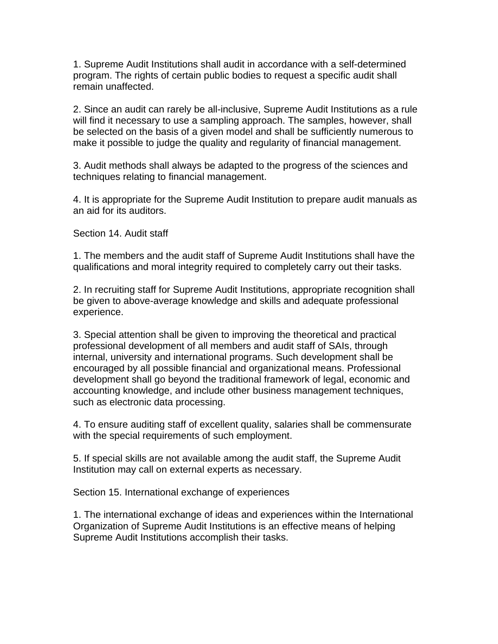1. Supreme Audit Institutions shall audit in accordance with a self-determined program. The rights of certain public bodies to request a specific audit shall remain unaffected.

2. Since an audit can rarely be all-inclusive, Supreme Audit Institutions as a rule will find it necessary to use a sampling approach. The samples, however, shall be selected on the basis of a given model and shall be sufficiently numerous to make it possible to judge the quality and regularity of financial management.

3. Audit methods shall always be adapted to the progress of the sciences and techniques relating to financial management.

4. It is appropriate for the Supreme Audit Institution to prepare audit manuals as an aid for its auditors.

Section 14. Audit staff

1. The members and the audit staff of Supreme Audit Institutions shall have the qualifications and moral integrity required to completely carry out their tasks.

2. In recruiting staff for Supreme Audit Institutions, appropriate recognition shall be given to above-average knowledge and skills and adequate professional experience.

3. Special attention shall be given to improving the theoretical and practical professional development of all members and audit staff of SAIs, through internal, university and international programs. Such development shall be encouraged by all possible financial and organizational means. Professional development shall go beyond the traditional framework of legal, economic and accounting knowledge, and include other business management techniques, such as electronic data processing.

4. To ensure auditing staff of excellent quality, salaries shall be commensurate with the special requirements of such employment.

5. If special skills are not available among the audit staff, the Supreme Audit Institution may call on external experts as necessary.

Section 15. International exchange of experiences

1. The international exchange of ideas and experiences within the International Organization of Supreme Audit Institutions is an effective means of helping Supreme Audit Institutions accomplish their tasks.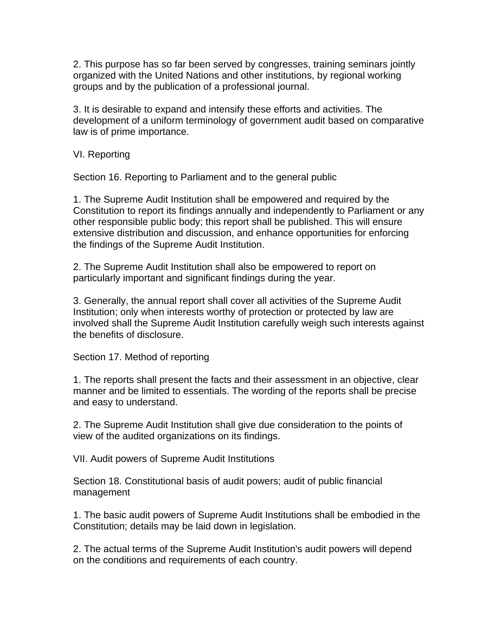2. This purpose has so far been served by congresses, training seminars jointly organized with the United Nations and other institutions, by regional working groups and by the publication of a professional journal.

3. It is desirable to expand and intensify these efforts and activities. The development of a uniform terminology of government audit based on comparative law is of prime importance.

VI. Reporting

Section 16. Reporting to Parliament and to the general public

1. The Supreme Audit Institution shall be empowered and required by the Constitution to report its findings annually and independently to Parliament or any other responsible public body; this report shall be published. This will ensure extensive distribution and discussion, and enhance opportunities for enforcing the findings of the Supreme Audit Institution.

2. The Supreme Audit Institution shall also be empowered to report on particularly important and significant findings during the year.

3. Generally, the annual report shall cover all activities of the Supreme Audit Institution; only when interests worthy of protection or protected by law are involved shall the Supreme Audit Institution carefully weigh such interests against the benefits of disclosure.

Section 17. Method of reporting

1. The reports shall present the facts and their assessment in an objective, clear manner and be limited to essentials. The wording of the reports shall be precise and easy to understand.

2. The Supreme Audit Institution shall give due consideration to the points of view of the audited organizations on its findings.

VII. Audit powers of Supreme Audit Institutions

Section 18. Constitutional basis of audit powers; audit of public financial management

1. The basic audit powers of Supreme Audit Institutions shall be embodied in the Constitution; details may be laid down in legislation.

2. The actual terms of the Supreme Audit Institution's audit powers will depend on the conditions and requirements of each country.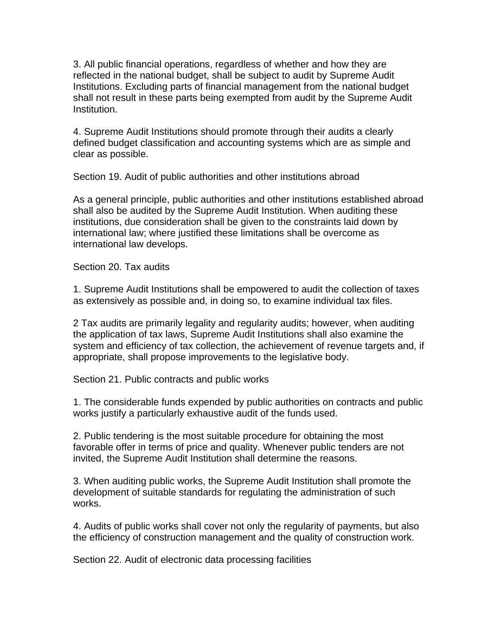3. All public financial operations, regardless of whether and how they are reflected in the national budget, shall be subject to audit by Supreme Audit Institutions. Excluding parts of financial management from the national budget shall not result in these parts being exempted from audit by the Supreme Audit Institution.

4. Supreme Audit Institutions should promote through their audits a clearly defined budget classification and accounting systems which are as simple and clear as possible.

Section 19. Audit of public authorities and other institutions abroad

As a general principle, public authorities and other institutions established abroad shall also be audited by the Supreme Audit Institution. When auditing these institutions, due consideration shall be given to the constraints laid down by international law; where justified these limitations shall be overcome as international law develops.

Section 20. Tax audits

1. Supreme Audit Institutions shall be empowered to audit the collection of taxes as extensively as possible and, in doing so, to examine individual tax files.

2 Tax audits are primarily legality and regularity audits; however, when auditing the application of tax laws, Supreme Audit Institutions shall also examine the system and efficiency of tax collection, the achievement of revenue targets and, if appropriate, shall propose improvements to the legislative body.

Section 21. Public contracts and public works

1. The considerable funds expended by public authorities on contracts and public works justify a particularly exhaustive audit of the funds used.

2. Public tendering is the most suitable procedure for obtaining the most favorable offer in terms of price and quality. Whenever public tenders are not invited, the Supreme Audit Institution shall determine the reasons.

3. When auditing public works, the Supreme Audit Institution shall promote the development of suitable standards for regulating the administration of such works.

4. Audits of public works shall cover not only the regularity of payments, but also the efficiency of construction management and the quality of construction work.

Section 22. Audit of electronic data processing facilities